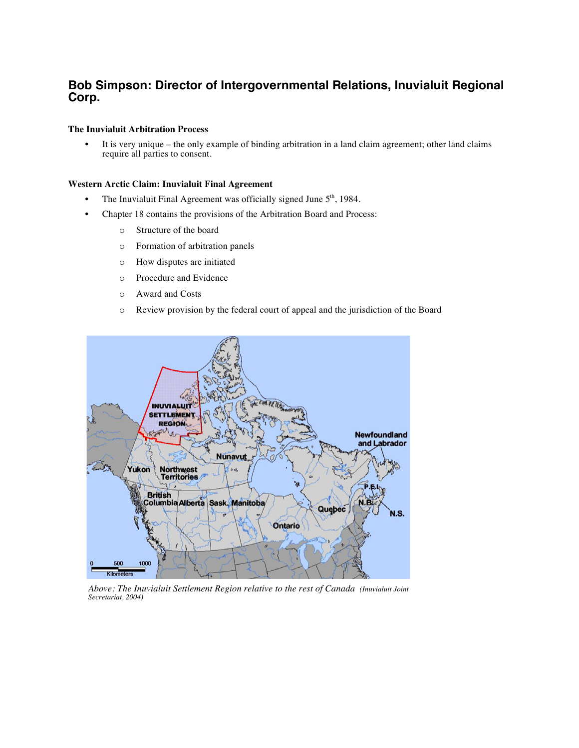# **Bob Simpson: Director of Intergovernmental Relations, Inuvialuit Regional Corp.**

# **The Inuvialuit Arbitration Process**

It is very unique – the only example of binding arbitration in a land claim agreement; other land claims require all parties to consent.

# **Western Arctic Claim: Inuvialuit Final Agreement**

- The Inuvialuit Final Agreement was officially signed June  $5<sup>th</sup>$ , 1984.
- Chapter 18 contains the provisions of the Arbitration Board and Process:
	- o Structure of the board
	- o Formation of arbitration panels
	- o How disputes are initiated
	- o Procedure and Evidence
	- o Award and Costs
	- o Review provision by the federal court of appeal and the jurisdiction of the Board



*Above: The Inuvialuit Settlement Region relative to the rest of Canada (Inuvialuit Joint Secretariat, 2004)*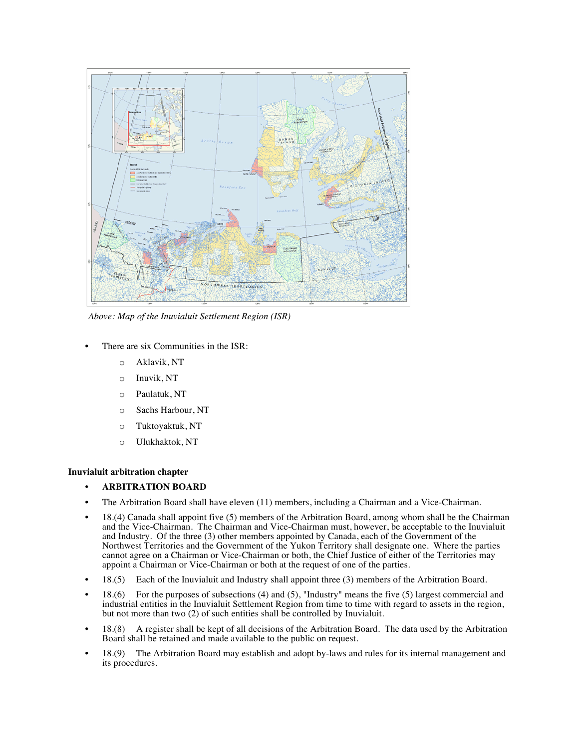

*Above: Map of the Inuvialuit Settlement Region (ISR)*

- There are six Communities in the ISR:
	- o Aklavik, NT
	- o Inuvik, NT
	- o Paulatuk, NT
	- o Sachs Harbour, NT
	- o Tuktoyaktuk, NT
	- o Ulukhaktok, NT

# **Inuvialuit arbitration chapter**

- **ARBITRATION BOARD**
- The Arbitration Board shall have eleven (11) members, including a Chairman and a Vice-Chairman.
- 18.(4) Canada shall appoint five (5) members of the Arbitration Board, among whom shall be the Chairman and the Vice-Chairman. The Chairman and Vice-Chairman must, however, be acceptable to the Inuvialuit and Industry. Of the three (3) other members appointed by Canada, each of the Government of the Northwest Territories and the Government of the Yukon Territory shall designate one. Where the parties cannot agree on a Chairman or Vice-Chairman or both, the Chief Justice of either of the Territories may appoint a Chairman or Vice-Chairman or both at the request of one of the parties.
- 18.(5) Each of the Inuvialuit and Industry shall appoint three (3) members of the Arbitration Board.
- $\bullet$  18.(6) For the purposes of subsections (4) and (5), "Industry" means the five (5) largest commercial and industrial entities in the Inuvialuit Settlement Region from time to time with regard to assets in the region, but not more than two (2) of such entities shall be controlled by Inuvialuit.
- 18.(8) A register shall be kept of all decisions of the Arbitration Board. The data used by the Arbitration Board shall be retained and made available to the public on request.
- 18.(9) The Arbitration Board may establish and adopt by-laws and rules for its internal management and its procedures.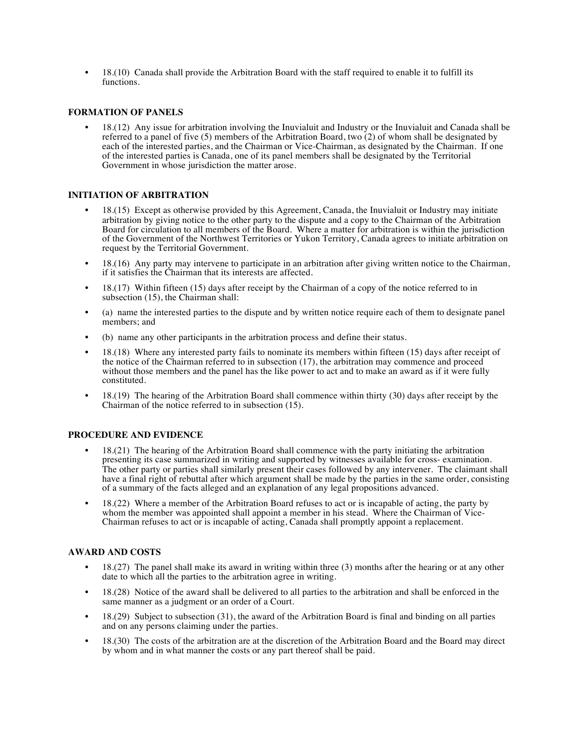• 18.(10) Canada shall provide the Arbitration Board with the staff required to enable it to fulfill its functions.

# **FORMATION OF PANELS**

• 18.(12) Any issue for arbitration involving the Inuvialuit and Industry or the Inuvialuit and Canada shall be referred to a panel of five (5) members of the Arbitration Board, two (2) of whom shall be designated by each of the interested parties, and the Chairman or Vice-Chairman, as designated by the Chairman. If one of the interested parties is Canada, one of its panel members shall be designated by the Territorial Government in whose jurisdiction the matter arose.

# **INITIATION OF ARBITRATION**

- 18.(15) Except as otherwise provided by this Agreement, Canada, the Inuvialuit or Industry may initiate arbitration by giving notice to the other party to the dispute and a copy to the Chairman of the Arbitration Board for circulation to all members of the Board. Where a matter for arbitration is within the jurisdiction of the Government of the Northwest Territories or Yukon Territory, Canada agrees to initiate arbitration on request by the Territorial Government.
- 18.(16) Any party may intervene to participate in an arbitration after giving written notice to the Chairman, if it satisfies the Chairman that its interests are affected.
- 18.(17) Within fifteen (15) days after receipt by the Chairman of a copy of the notice referred to in subsection (15), the Chairman shall:
- (a) name the interested parties to the dispute and by written notice require each of them to designate panel members; and
- (b) name any other participants in the arbitration process and define their status.
- 18.(18) Where any interested party fails to nominate its members within fifteen (15) days after receipt of the notice of the Chairman referred to in subsection (17), the arbitration may commence and proceed without those members and the panel has the like power to act and to make an award as if it were fully constituted.
- 18.(19) The hearing of the Arbitration Board shall commence within thirty (30) days after receipt by the Chairman of the notice referred to in subsection (15).

# **PROCEDURE AND EVIDENCE**

- 18.(21) The hearing of the Arbitration Board shall commence with the party initiating the arbitration presenting its case summarized in writing and supported by witnesses available for cross- examination. The other party or parties shall similarly present their cases followed by any intervener. The claimant shall have a final right of rebuttal after which argument shall be made by the parties in the same order, consisting of a summary of the facts alleged and an explanation of any legal propositions advanced.
- 18.(22) Where a member of the Arbitration Board refuses to act or is incapable of acting, the party by whom the member was appointed shall appoint a member in his stead. Where the Chairman of Vice-Chairman refuses to act or is incapable of acting, Canada shall promptly appoint a replacement.

# **AWARD AND COSTS**

- 18.(27) The panel shall make its award in writing within three (3) months after the hearing or at any other date to which all the parties to the arbitration agree in writing.
- 18.(28) Notice of the award shall be delivered to all parties to the arbitration and shall be enforced in the same manner as a judgment or an order of a Court.
- 18.(29) Subject to subsection (31), the award of the Arbitration Board is final and binding on all parties and on any persons claiming under the parties.
- 18.(30) The costs of the arbitration are at the discretion of the Arbitration Board and the Board may direct by whom and in what manner the costs or any part thereof shall be paid.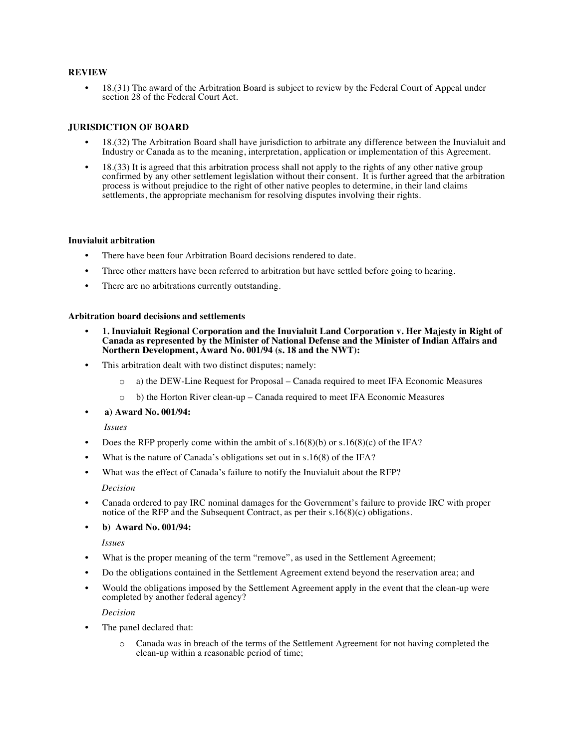# **REVIEW**

• 18.(31) The award of the Arbitration Board is subject to review by the Federal Court of Appeal under section 28 of the Federal Court Act.

# **JURISDICTION OF BOARD**

- 18.(32) The Arbitration Board shall have jurisdiction to arbitrate any difference between the Inuvialuit and Industry or Canada as to the meaning, interpretation, application or implementation of this Agreement.
- 18.(33) It is agreed that this arbitration process shall not apply to the rights of any other native group confirmed by any other settlement legislation without their consent. It is further agreed that the arbitration process is without prejudice to the right of other native peoples to determine, in their land claims settlements, the appropriate mechanism for resolving disputes involving their rights.

### **Inuvialuit arbitration**

- There have been four Arbitration Board decisions rendered to date.
- Three other matters have been referred to arbitration but have settled before going to hearing.
- There are no arbitrations currently outstanding.

#### **Arbitration board decisions and settlements**

- **1. Inuvialuit Regional Corporation and the Inuvialuit Land Corporation v. Her Majesty in Right of Canada as represented by the Minister of National Defense and the Minister of Indian Affairs and Northern Development, Award No. 001/94 (s. 18 and the NWT):**
- This arbitration dealt with two distinct disputes; namely:
	- o a) the DEW-Line Request for Proposal Canada required to meet IFA Economic Measures
	- o b) the Horton River clean-up Canada required to meet IFA Economic Measures
- **a) Award No. 001/94:**

#### *Issues*

- Does the RFP properly come within the ambit of  $s.16(8)(b)$  or  $s.16(8)(c)$  of the IFA?
- What is the nature of Canada's obligations set out in  $s.16(8)$  of the IFA?
- What was the effect of Canada's failure to notify the Inuvialuit about the RFP?

#### *Decision*

• Canada ordered to pay IRC nominal damages for the Government's failure to provide IRC with proper notice of the RFP and the Subsequent Contract, as per their s.16(8)(c) obligations.

# • **b) Award No. 001/94:**

*Issues*

- What is the proper meaning of the term "remove", as used in the Settlement Agreement;
- Do the obligations contained in the Settlement Agreement extend beyond the reservation area; and
- Would the obligations imposed by the Settlement Agreement apply in the event that the clean-up were completed by another federal agency?

*Decision*

- The panel declared that:
	- o Canada was in breach of the terms of the Settlement Agreement for not having completed the clean-up within a reasonable period of time;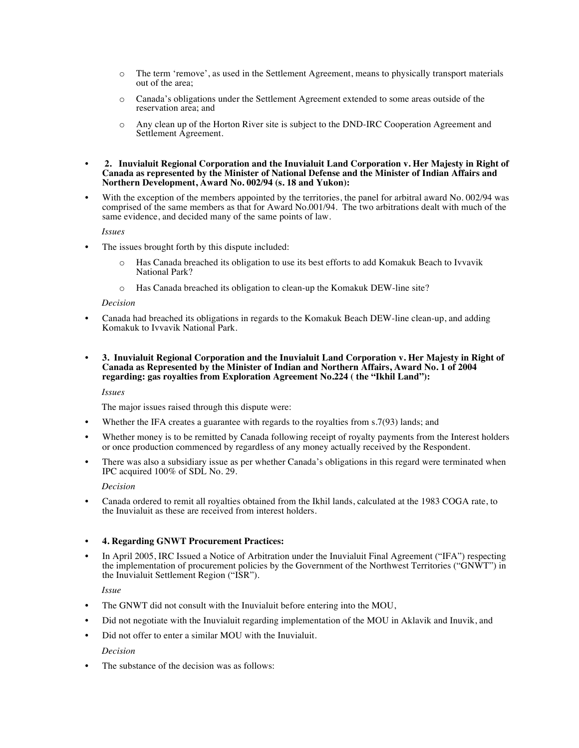- o The term 'remove', as used in the Settlement Agreement, means to physically transport materials out of the area;
- o Canada's obligations under the Settlement Agreement extended to some areas outside of the reservation area; and
- o Any clean up of the Horton River site is subject to the DND-IRC Cooperation Agreement and Settlement Agreement.
- **2. Inuvialuit Regional Corporation and the Inuvialuit Land Corporation v. Her Majesty in Right of Canada as represented by the Minister of National Defense and the Minister of Indian Affairs and Northern Development, Award No. 002/94 (s. 18 and Yukon):**
- With the exception of the members appointed by the territories, the panel for arbitral award No. 002/94 was comprised of the same members as that for Award No.001/94. The two arbitrations dealt with much of the same evidence, and decided many of the same points of law.

# *Issues*

- The issues brought forth by this dispute included:
	- o Has Canada breached its obligation to use its best efforts to add Komakuk Beach to Ivvavik National Park?
	- o Has Canada breached its obligation to clean-up the Komakuk DEW-line site?

#### *Decision*

- Canada had breached its obligations in regards to the Komakuk Beach DEW-line clean-up, and adding Komakuk to Ivvavik National Park.
- **3. Inuvialuit Regional Corporation and the Inuvialuit Land Corporation v. Her Majesty in Right of Canada as Represented by the Minister of Indian and Northern Affairs, Award No. 1 of 2004 regarding: gas royalties from Exploration Agreement No.224 ( the "Ikhil Land"):**

# *Issues*

The major issues raised through this dispute were:

- Whether the IFA creates a guarantee with regards to the royalties from s.7(93) lands; and
- Whether money is to be remitted by Canada following receipt of royalty payments from the Interest holders or once production commenced by regardless of any money actually received by the Respondent.
- There was also a subsidiary issue as per whether Canada's obligations in this regard were terminated when IPC acquired 100% of SDL No. 29.

# *Decision*

• Canada ordered to remit all royalties obtained from the Ikhil lands, calculated at the 1983 COGA rate, to the Inuvialuit as these are received from interest holders.

# • **4. Regarding GNWT Procurement Practices:**

• In April 2005, IRC Issued a Notice of Arbitration under the Inuvialuit Final Agreement ("IFA") respecting the implementation of procurement policies by the Government of the Northwest Territories ("GNWT") in the Inuvialuit Settlement Region ("ISR").

# *Issue*

- The GNWT did not consult with the Inuvialuit before entering into the MOU,
- Did not negotiate with the Inuvialuit regarding implementation of the MOU in Aklavik and Inuvik, and
- Did not offer to enter a similar MOU with the Inuvialuit.

# *Decision*

The substance of the decision was as follows: